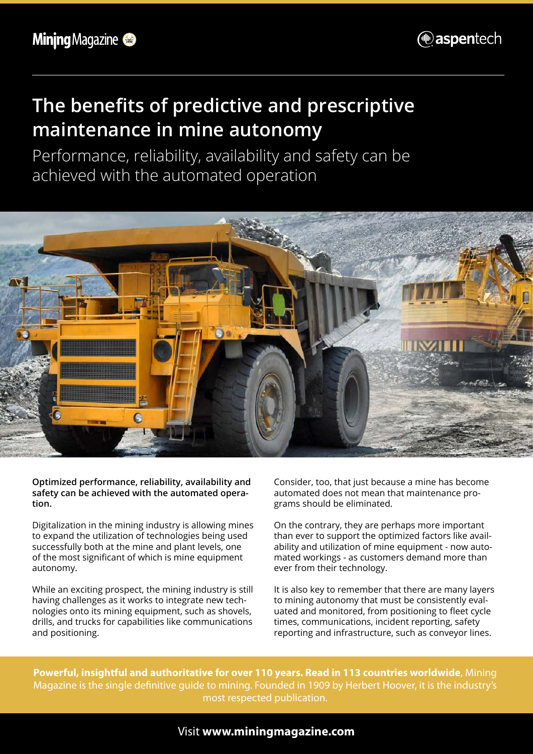

## **The benefits of predictive and prescriptive maintenance in mine autonomy**

Performance, reliability, availability and safety can be achieved with the automated operation



**Optimized performance, reliability, availability and safety can be achieved with the automated operation.**

Digitalization in the mining industry is allowing mines to expand the utilization of technologies being used successfully both at the mine and plant levels, one of the most significant of which is mine equipment autonomy.

While an exciting prospect, the mining industry is still having challenges as it works to integrate new technologies onto its mining equipment, such as shovels, drills, and trucks for capabilities like communications and positioning.

Consider, too, that just because a mine has become automated does not mean that maintenance programs should be eliminated.

On the contrary, they are perhaps more important than ever to support the optimized factors like availability and utilization of mine equipment - now automated workings - as customers demand more than ever from their technology.

It is also key to remember that there are many layers to mining autonomy that must be consistently evaluated and monitored, from positioning to fleet cycle times, communications, incident reporting, safety reporting and infrastructure, such as conveyor lines.

**Powerful, insightful and authoritative for over 110 years. Read in 113 countries worldwide**, Mining Magazine is the single definitive guide to mining. Founded in 1909 by Herbert Hoover, it is the industry's most respected publication.

#### Visit **www.miningmagazine.com**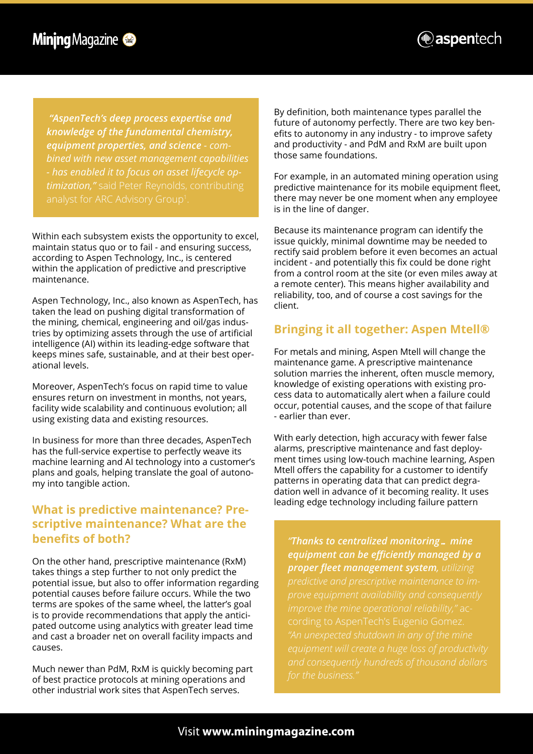

*"AspenTech's deep process expertise and knowledge of the fundamental chemistry, equipment properties, and science - combined with new asset management capabilities - has enabled it to focus on asset lifecycle optimization,"* said Peter Reynolds, contributing

Within each subsystem exists the opportunity to excel, maintain status quo or to fail - and ensuring success, according to Aspen Technology, Inc., is centered within the application of predictive and prescriptive maintenance.

Aspen Technology, Inc., also known as AspenTech, has taken the lead on pushing digital transformation of the mining, chemical, engineering and oil/gas industries by optimizing assets through the use of artificial intelligence (AI) within its leading-edge software that keeps mines safe, sustainable, and at their best operational levels.

Moreover, AspenTech's focus on rapid time to value ensures return on investment in months, not years, facility wide scalability and continuous evolution; all using existing data and existing resources.

In business for more than three decades, AspenTech has the full-service expertise to perfectly weave its machine learning and AI technology into a customer's plans and goals, helping translate the goal of autonomy into tangible action.

#### **What is predictive maintenance? Prescriptive maintenance? What are the benefits of both?**

On the other hand, prescriptive maintenance (RxM) takes things a step further to not only predict the potential issue, but also to offer information regarding potential causes before failure occurs. While the two terms are spokes of the same wheel, the latter's goal is to provide recommendations that apply the anticipated outcome using analytics with greater lead time and cast a broader net on overall facility impacts and causes.

Much newer than PdM, RxM is quickly becoming part of best practice protocols at mining operations and other industrial work sites that AspenTech serves.

By definition, both maintenance types parallel the future of autonomy perfectly. There are two key benefits to autonomy in any industry - to improve safety and productivity - and PdM and RxM are built upon those same foundations.

For example, in an automated mining operation using predictive maintenance for its mobile equipment fleet, there may never be one moment when any employee is in the line of danger.

Because its maintenance program can identify the issue quickly, minimal downtime may be needed to rectify said problem before it even becomes an actual incident - and potentially this fix could be done right from a control room at the site (or even miles away at a remote center). This means higher availability and reliability, too, and of course a cost savings for the client.

#### **Bringing it all together: Aspen Mtell®**

For metals and mining, Aspen Mtell will change the maintenance game. A prescriptive maintenance solution marries the inherent, often muscle memory, knowledge of existing operations with existing process data to automatically alert when a failure could occur, potential causes, and the scope of that failure - earlier than ever.

With early detection, high accuracy with fewer false alarms, prescriptive maintenance and fast deployment times using low-touch machine learning, Aspen Mtell offers the capability for a customer to identify patterns in operating data that can predict degradation well in advance of it becoming reality. It uses leading edge technology including failure pattern

*"Thanks to centralized monitoring… mine equipment can be efficiently managed by a proper fleet management system, utilizing prove equipment availability and consequently "An unexpected shutdown in any of the mine*